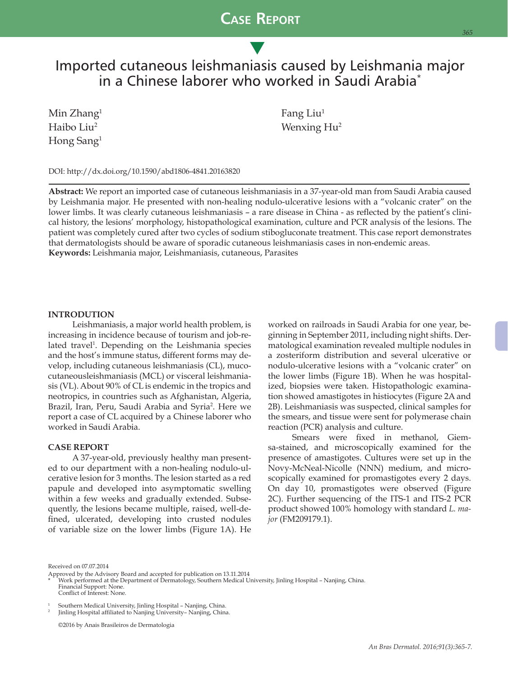## **Case Report**

s

# Imported cutaneous leishmaniasis caused by Leishmania major in a Chinese laborer who worked in Saudi Arabia\*

 $\text{Min } \text{Zhang}^1$  Fang Liu<sup>1</sup> Hong Sang1

Haibo Liu<sup>2</sup> Wenxing Hu<sup>2</sup>

DOI: http://dx.doi.org/10.1590/abd1806-4841.20163820

**Abstract:** We report an imported case of cutaneous leishmaniasis in a 37-year-old man from Saudi Arabia caused by Leishmania major. He presented with non-healing nodulo-ulcerative lesions with a "volcanic crater" on the lower limbs. It was clearly cutaneous leishmaniasis – a rare disease in China - as reflected by the patient's clinical history, the lesions' morphology, histopathological examination, culture and PCR analysis of the lesions. The patient was completely cured after two cycles of sodium stibogluconate treatment. This case report demonstrates that dermatologists should be aware of sporadic cutaneous leishmaniasis cases in non-endemic areas. **Keywords:** Leishmania major, Leishmaniasis, cutaneous, Parasites

### **INTRODUTION**

Leishmaniasis, a major world health problem, is increasing in incidence because of tourism and job-related travel<sup>1</sup>. Depending on the Leishmania species and the host's immune status, different forms may develop, including cutaneous leishmaniasis (CL), mucocutaneousleishmaniasis (MCL) or visceral leishmaniasis (VL). About 90% of CL is endemic in the tropics and neotropics, in countries such as Afghanistan, Algeria, Brazil, Iran, Peru, Saudi Arabia and Syria<sup>2</sup>. Here we report a case of CL acquired by a Chinese laborer who worked in Saudi Arabia.

### **CASE REPORT**

A 37-year-old, previously healthy man presented to our department with a non-healing nodulo-ulcerative lesion for 3 months. The lesion started as a red papule and developed into asymptomatic swelling within a few weeks and gradually extended. Subsequently, the lesions became multiple, raised, well-defined, ulcerated, developing into crusted nodules of variable size on the lower limbs (Figure 1A). He

worked on railroads in Saudi Arabia for one year, beginning in September 2011, including night shifts. Dermatological examination revealed multiple nodules in a zosteriform distribution and several ulcerative or nodulo-ulcerative lesions with a "volcanic crater" on the lower limbs (Figure 1B). When he was hospitalized, biopsies were taken. Histopathologic examination showed amastigotes in histiocytes (Figure 2A and 2B). Leishmaniasis was suspected, clinical samples for the smears, and tissue were sent for polymerase chain reaction (PCR) analysis and culture.

*365*

Smears were fixed in methanol, Giemsa-stained, and microscopically examined for the presence of amastigotes. Cultures were set up in the Novy-McNeal-Nicolle (NNN) medium, and microscopically examined for promastigotes every 2 days. On day 10, promastigotes were observed (Figure 2C). Further sequencing of the ITS-1 and ITS-2 PCR product showed 100% homology with standard *L. major* (FM209179.1).

Received on 07.07.2014

Approved by the Advisory Board and accepted for publication on 13.11.2014<br>\* Work performed at the Department of Dermatology, Southern Medical University, Jinling Hospital – Nanjing, China. Financial Support: None. Conflict of Interest: None.

1 Southern Medical University, Jinling Hospital – Nanjing, China.<br>Iinling Hospital affiliated to Nanjing University– Nanjing, China.

 ©2016 by Anais Brasileiros de Dermatologia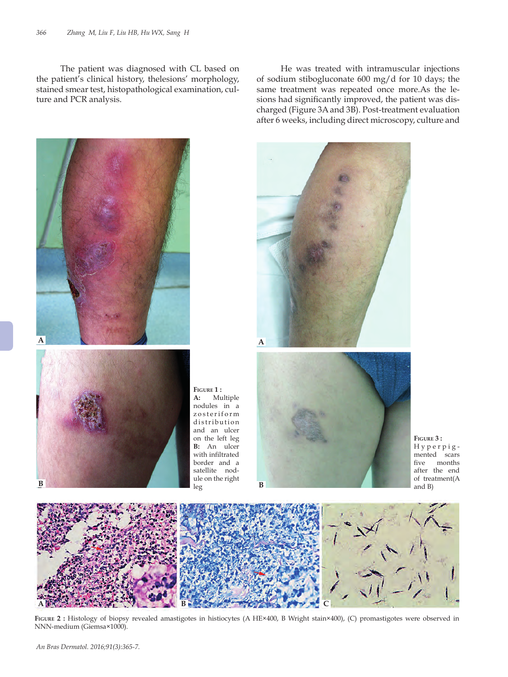The patient was diagnosed with CL based on the patient's clinical history, thelesions' morphology, stained smear test, histopathological examination, culture and PCR analysis.

He was treated with intramuscular injections of sodium stibogluconate 600 mg/d for 10 days; the same treatment was repeated once more.As the lesions had significantly improved, the patient was discharged (Figure 3A and 3B). Post-treatment evaluation after 6 weeks, including direct microscopy, culture and





FIGURE 2 : Histology of biopsy revealed amastigotes in histiocytes (A HE×400, B Wright stain×400), (C) promastigotes were observed in NNN-medium (Giemsa×1000).